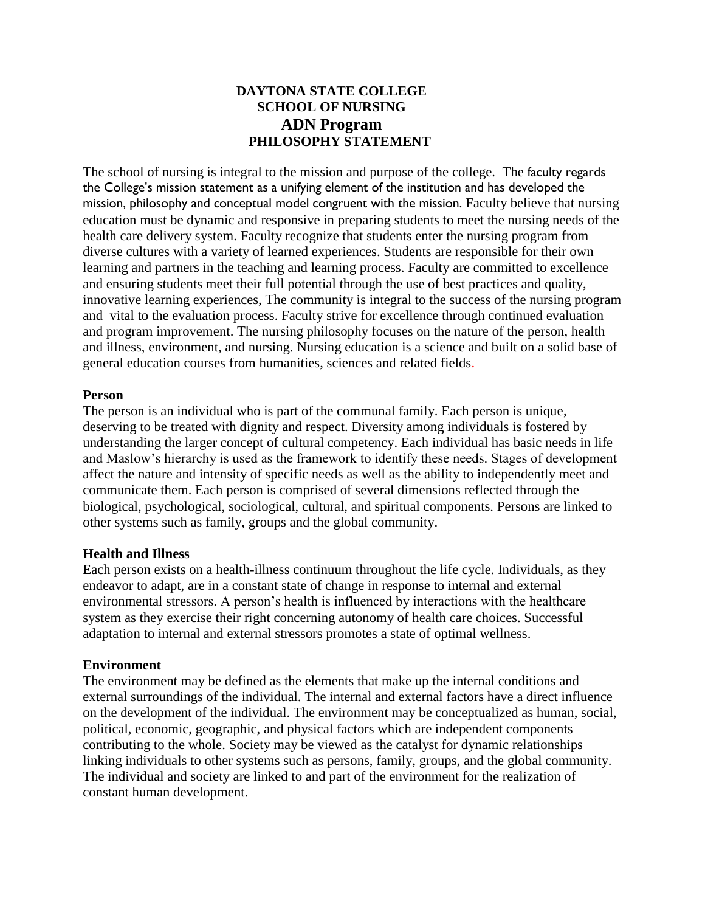# **DAYTONA STATE COLLEGE SCHOOL OF NURSING ADN Program PHILOSOPHY STATEMENT**

The school of nursing is integral to the mission and purpose of the college. The faculty regards the College's mission statement as a unifying element of the institution and has developed the mission, philosophy and conceptual model congruent with the mission. Faculty believe that nursing education must be dynamic and responsive in preparing students to meet the nursing needs of the health care delivery system. Faculty recognize that students enter the nursing program from diverse cultures with a variety of learned experiences. Students are responsible for their own learning and partners in the teaching and learning process. Faculty are committed to excellence and ensuring students meet their full potential through the use of best practices and quality, innovative learning experiences, The community is integral to the success of the nursing program and vital to the evaluation process. Faculty strive for excellence through continued evaluation and program improvement. The nursing philosophy focuses on the nature of the person, health and illness, environment, and nursing. Nursing education is a science and built on a solid base of general education courses from humanities, sciences and related fields.

#### **Person**

The person is an individual who is part of the communal family. Each person is unique, deserving to be treated with dignity and respect. Diversity among individuals is fostered by understanding the larger concept of cultural competency. Each individual has basic needs in life and Maslow's hierarchy is used as the framework to identify these needs. Stages of development affect the nature and intensity of specific needs as well as the ability to independently meet and communicate them. Each person is comprised of several dimensions reflected through the biological, psychological, sociological, cultural, and spiritual components. Persons are linked to other systems such as family, groups and the global community.

## **Health and Illness**

Each person exists on a health-illness continuum throughout the life cycle. Individuals, as they endeavor to adapt, are in a constant state of change in response to internal and external environmental stressors. A person's health is influenced by interactions with the healthcare system as they exercise their right concerning autonomy of health care choices. Successful adaptation to internal and external stressors promotes a state of optimal wellness.

## **Environment**

The environment may be defined as the elements that make up the internal conditions and external surroundings of the individual. The internal and external factors have a direct influence on the development of the individual. The environment may be conceptualized as human, social, political, economic, geographic, and physical factors which are independent components contributing to the whole. Society may be viewed as the catalyst for dynamic relationships linking individuals to other systems such as persons, family, groups, and the global community. The individual and society are linked to and part of the environment for the realization of constant human development.